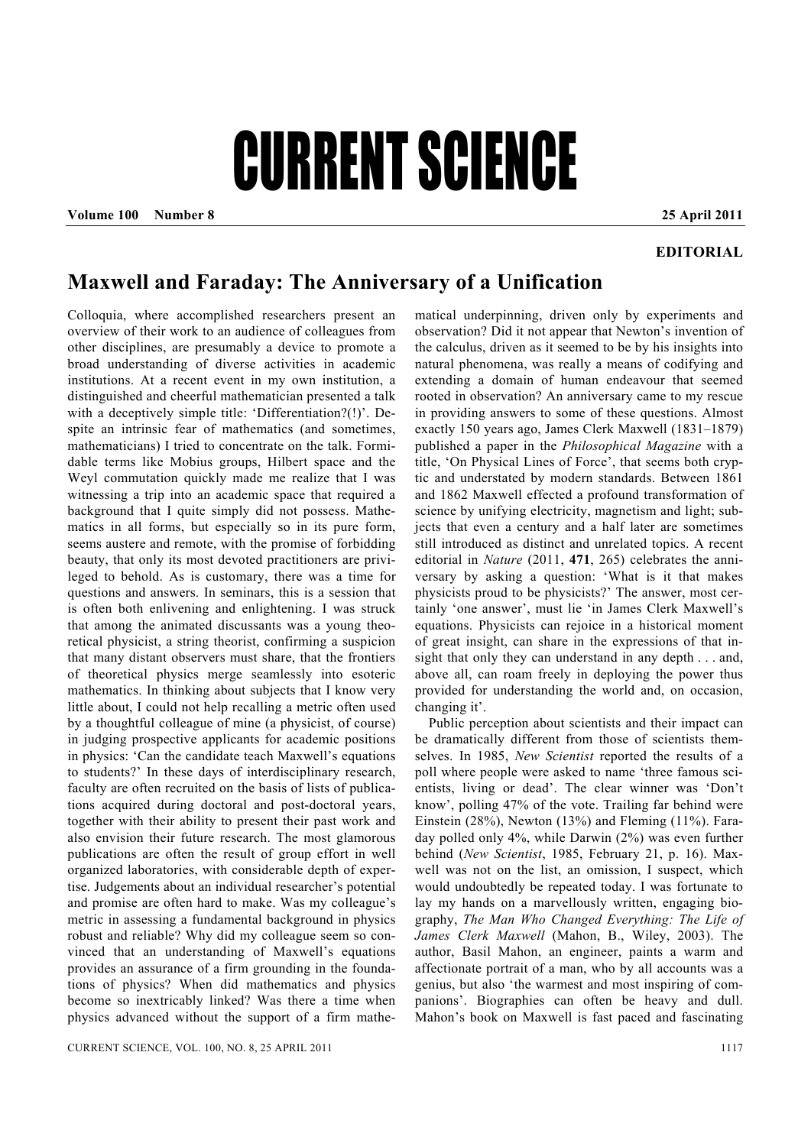## CURRENT SCIENCE

**Volume 100 Number 8 25 April 2011** 

## **EDITORIAL**

## **Maxwell and Faraday: The Anniversary of a Unification**

Colloquia, where accomplished researchers present an overview of their work to an audience of colleagues from other disciplines, are presumably a device to promote a broad understanding of diverse activities in academic institutions. At a recent event in my own institution, a distinguished and cheerful mathematician presented a talk with a deceptively simple title: 'Differentiation?(!)'. Despite an intrinsic fear of mathematics (and sometimes, mathematicians) I tried to concentrate on the talk. Formidable terms like Mobius groups, Hilbert space and the Weyl commutation quickly made me realize that I was witnessing a trip into an academic space that required a background that I quite simply did not possess. Mathematics in all forms, but especially so in its pure form, seems austere and remote, with the promise of forbidding beauty, that only its most devoted practitioners are privileged to behold. As is customary, there was a time for questions and answers. In seminars, this is a session that is often both enlivening and enlightening. I was struck that among the animated discussants was a young theoretical physicist, a string theorist, confirming a suspicion that many distant observers must share, that the frontiers of theoretical physics merge seamlessly into esoteric mathematics. In thinking about subjects that I know very little about, I could not help recalling a metric often used by a thoughtful colleague of mine (a physicist, of course) in judging prospective applicants for academic positions in physics: 'Can the candidate teach Maxwell's equations to students?' In these days of interdisciplinary research, faculty are often recruited on the basis of lists of publications acquired during doctoral and post-doctoral years, together with their ability to present their past work and also envision their future research. The most glamorous publications are often the result of group effort in well organized laboratories, with considerable depth of expertise. Judgements about an individual researcher's potential and promise are often hard to make. Was my colleague's metric in assessing a fundamental background in physics robust and reliable? Why did my colleague seem so convinced that an understanding of Maxwell's equations provides an assurance of a firm grounding in the foundations of physics? When did mathematics and physics become so inextricably linked? Was there a time when physics advanced without the support of a firm mathematical underpinning, driven only by experiments and observation? Did it not appear that Newton's invention of the calculus, driven as it seemed to be by his insights into natural phenomena, was really a means of codifying and extending a domain of human endeavour that seemed rooted in observation? An anniversary came to my rescue in providing answers to some of these questions. Almost exactly 150 years ago, James Clerk Maxwell (1831–1879) published a paper in the *Philosophical Magazine* with a title, 'On Physical Lines of Force', that seems both cryptic and understated by modern standards. Between 1861 and 1862 Maxwell effected a profound transformation of science by unifying electricity, magnetism and light; subjects that even a century and a half later are sometimes still introduced as distinct and unrelated topics. A recent editorial in *Nature* (2011, **471**, 265) celebrates the anniversary by asking a question: 'What is it that makes physicists proud to be physicists?' The answer, most certainly 'one answer', must lie 'in James Clerk Maxwell's equations. Physicists can rejoice in a historical moment of great insight, can share in the expressions of that insight that only they can understand in any depth . . . and, above all, can roam freely in deploying the power thus provided for understanding the world and, on occasion, changing it'.

 Public perception about scientists and their impact can be dramatically different from those of scientists themselves. In 1985, *New Scientist* reported the results of a poll where people were asked to name 'three famous scientists, living or dead'. The clear winner was 'Don't know', polling 47% of the vote. Trailing far behind were Einstein  $(28\%)$ , Newton  $(13\%)$  and Fleming  $(11\%)$ . Faraday polled only 4%, while Darwin (2%) was even further behind (*New Scientist*, 1985, February 21, p. 16). Maxwell was not on the list, an omission, I suspect, which would undoubtedly be repeated today. I was fortunate to lay my hands on a marvellously written, engaging biography, *The Man Who Changed Everything: The Life of James Clerk Maxwell* (Mahon, B., Wiley, 2003). The author, Basil Mahon, an engineer, paints a warm and affectionate portrait of a man, who by all accounts was a genius, but also 'the warmest and most inspiring of companions'. Biographies can often be heavy and dull. Mahon's book on Maxwell is fast paced and fascinating